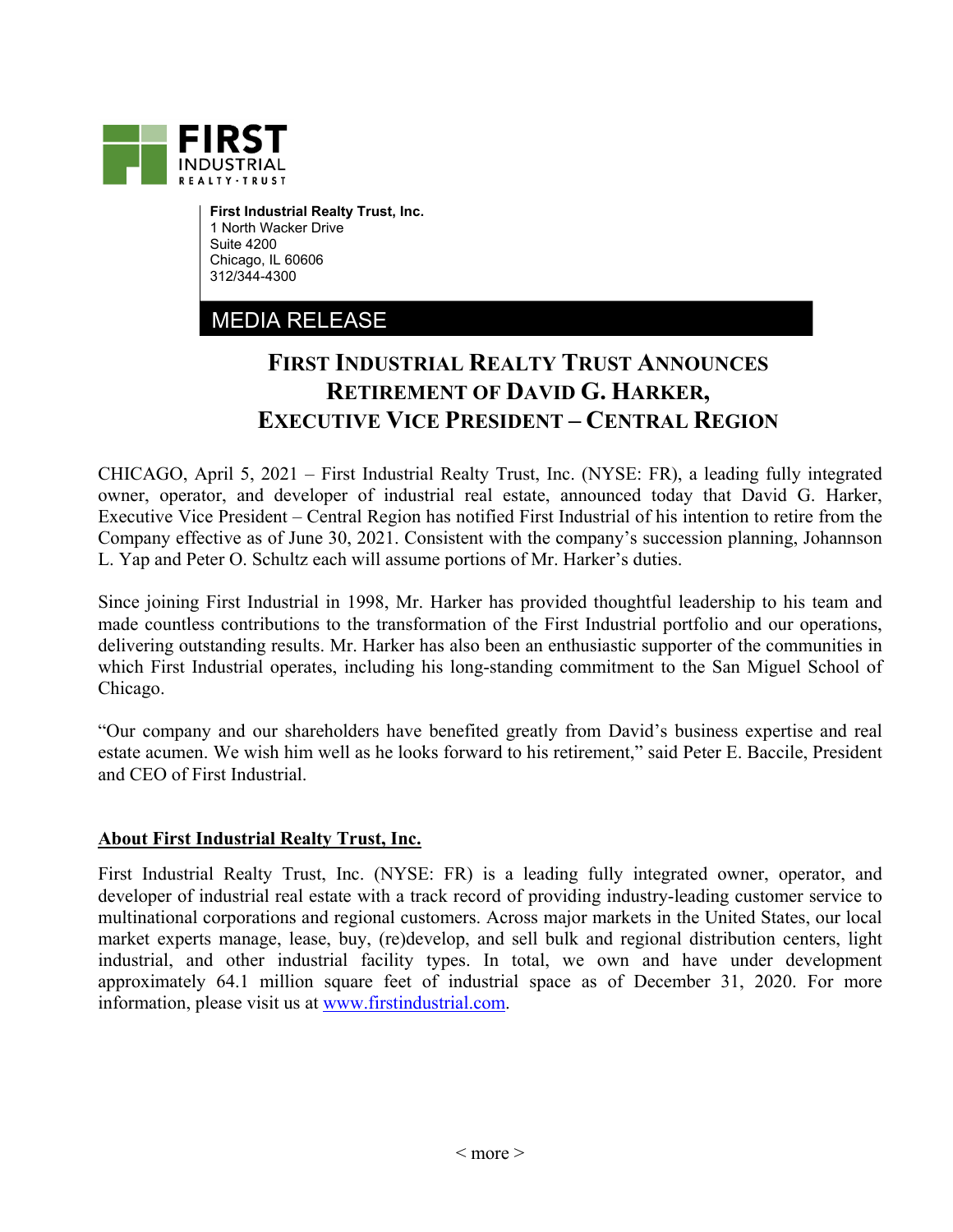

**First Industrial Realty Trust, Inc.**  1 North Wacker Drive Suite 4200 Chicago, IL 60606 312/344-4300

## MEDIA RELEASE

## **FIRST INDUSTRIAL REALTY TRUST ANNOUNCES RETIREMENT OF DAVID G. HARKER, EXECUTIVE VICE PRESIDENT – CENTRAL REGION**

CHICAGO, April 5, 2021 – First Industrial Realty Trust, Inc. (NYSE: FR), a leading fully integrated owner, operator, and developer of industrial real estate, announced today that David G. Harker, Executive Vice President – Central Region has notified First Industrial of his intention to retire from the Company effective as of June 30, 2021. Consistent with the company's succession planning, Johannson L. Yap and Peter O. Schultz each will assume portions of Mr. Harker's duties.

Since joining First Industrial in 1998, Mr. Harker has provided thoughtful leadership to his team and made countless contributions to the transformation of the First Industrial portfolio and our operations, delivering outstanding results. Mr. Harker has also been an enthusiastic supporter of the communities in which First Industrial operates, including his long-standing commitment to the San Miguel School of Chicago.

"Our company and our shareholders have benefited greatly from David's business expertise and real estate acumen. We wish him well as he looks forward to his retirement," said Peter E. Baccile, President and CEO of First Industrial.

## **About First Industrial Realty Trust, Inc.**

First Industrial Realty Trust, Inc. (NYSE: FR) is a leading fully integrated owner, operator, and developer of industrial real estate with a track record of providing industry-leading customer service to multinational corporations and regional customers. Across major markets in the United States, our local market experts manage, lease, buy, (re)develop, and sell bulk and regional distribution centers, light industrial, and other industrial facility types. In total, we own and have under development approximately 64.1 million square feet of industrial space as of December 31, 2020. For more information, please visit us at www.firstindustrial.com.